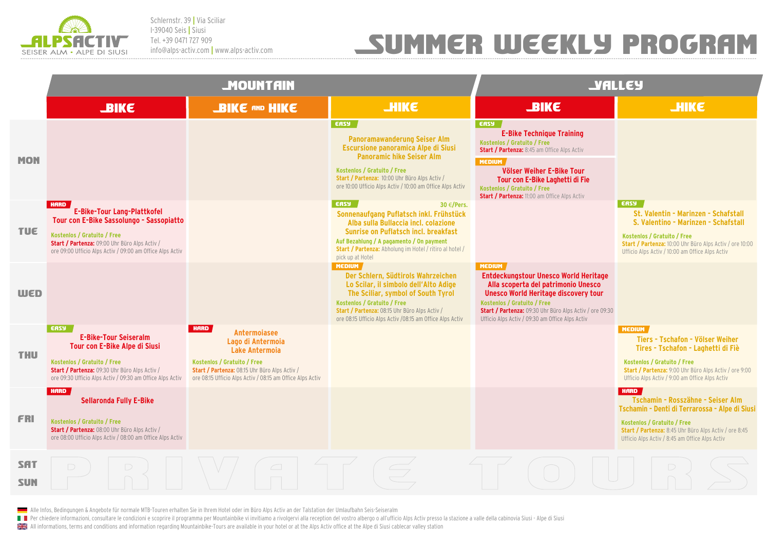

Schlernstr. 39 **|** Via Sciliar I-39040 Seis **|** Siusi Tel. +39 0471 727 909 info@alps-activ.com **|** www.alps-activ.com

## Summer weekly program

|                          | <b>MOUNTAIN</b>                                                                                                                                                                                                                            |                                                                                                                                                                                                                 |                                                                                                                                                                                                                                                                                      | <b>JALLEY</b>                                                                                                                                                                                                                                                                                        |                                                                                                                                                                                                                                              |
|--------------------------|--------------------------------------------------------------------------------------------------------------------------------------------------------------------------------------------------------------------------------------------|-----------------------------------------------------------------------------------------------------------------------------------------------------------------------------------------------------------------|--------------------------------------------------------------------------------------------------------------------------------------------------------------------------------------------------------------------------------------------------------------------------------------|------------------------------------------------------------------------------------------------------------------------------------------------------------------------------------------------------------------------------------------------------------------------------------------------------|----------------------------------------------------------------------------------------------------------------------------------------------------------------------------------------------------------------------------------------------|
|                          | <b>JBIKE</b>                                                                                                                                                                                                                               | <b>BIKE AND HIKE</b>                                                                                                                                                                                            | <b>JHIKE</b>                                                                                                                                                                                                                                                                         | <b>SIKE</b>                                                                                                                                                                                                                                                                                          | <b>JHIKE</b>                                                                                                                                                                                                                                 |
| <b>MON</b>               |                                                                                                                                                                                                                                            |                                                                                                                                                                                                                 | <b>ERSY</b><br><b>Panoramawanderung Seiser Alm</b><br><b>Escursione panoramica Alpe di Siusi</b><br><b>Panoramic hike Seiser Alm</b><br>Kostenlos / Gratuito / Free<br>Start / Partenza: 10:00 Uhr Büro Alps Activ /<br>ore 10:00 Ufficio Alps Activ / 10:00 am Office Alps Activ    | EASY<br><b>E-Bike Technique Training</b><br>Kostenlos / Gratuito / Free<br><b>Start / Partenza: 8:45 am Office Alps Activ</b><br><b>MEDIUM</b><br>Völser Weiher E-Bike Tour<br>Tour con E-Bike Laghetti di Fie<br>Kostenlos / Gratuito / Free<br><b>Start / Partenza: 11:00 am Office Alps Activ</b> |                                                                                                                                                                                                                                              |
| <b>TUE</b>               | <b>HARD</b><br><b>E-Bike-Tour Lang-Plattkofel</b><br>Tour con E-Bike Sassolungo - Sassopiatto<br>Kostenlos / Gratuito / Free<br>Start / Partenza: 09:00 Uhr Büro Alps Activ /<br>ore 09:00 Ufficio Alps Activ / 09:00 am Office Alps Activ |                                                                                                                                                                                                                 | <b>ERSY</b><br>30 $\in$ /Pers.<br>Sonnenaufgang Puflatsch inkl. Frühstück<br>Alba sulla Bullaccia incl. colazione<br>Sunrise on Puflatsch incl. breakfast<br>Auf Bezahlung / A pagamento / On payment<br>Start / Partenza: Abholung im Hotel / ritiro al hotel /<br>pick up at Hotel |                                                                                                                                                                                                                                                                                                      | EASY<br>St. Valentin - Marinzen - Schafstall<br>S. Valentino - Marinzen - Schafstall<br>Kostenlos / Gratuito / Free<br>Start / Partenza: 10:00 Uhr Büro Alps Activ / ore 10:00<br>Ufficio Alps Activ / 10:00 am Office Alps Activ            |
| <b>WED</b>               |                                                                                                                                                                                                                                            |                                                                                                                                                                                                                 | <b>MEDIUM</b><br>Der Schlern, Südtirols Wahrzeichen<br>Lo Scilar, il simbolo dell'Alto Adige<br>The Sciliar, symbol of South Tyrol<br>Kostenlos / Gratuito / Free<br>Start / Partenza: 08:15 Uhr Büro Alps Activ /<br>ore 08:15 Ufficio Alps Activ /08:15 am Office Alps Activ       | <b>MEDIUM</b><br>Entdeckungstour Unesco World Heritage<br>Alla scoperta del patrimonio Unesco<br><b>Unesco World Heritage discovery tour</b><br>Kostenlos / Gratuito / Free<br><b>Start / Partenza: 09:30 Uhr Büro Alps Activ / ore 09:30</b><br>Ufficio Alps Activ / 09:30 am Office Alps Activ     |                                                                                                                                                                                                                                              |
| <b>THU</b>               | <b>EASY</b><br><b>E-Bike-Tour Seiseralm</b><br>Tour con E-Bike Alpe di Siusi<br>Kostenlos / Gratuito / Free<br><b>Start / Partenza: 09:30 Uhr Büro Alps Activ /</b><br>ore 09:30 Ufficio Alps Activ / 09:30 am Office Alps Activ           | <b>HARD</b><br>Antermoiasee<br>Lago di Antermoia<br>Lake Antermoia<br>Kostenlos / Gratuito / Free<br>Start / Partenza: 08:15 Uhr Büro Alps Activ /<br>ore 08:15 Ufficio Alps Activ / 08:15 am Office Alps Activ |                                                                                                                                                                                                                                                                                      |                                                                                                                                                                                                                                                                                                      | <b>MEDIUM</b><br>Tiers - Tschafon - Völser Weiher<br>Tires - Tschafon - Laghetti di Fiè<br>Kostenlos / Gratuito / Free<br>Start / Partenza: 9:00 Uhr Büro Alps Activ / ore 9:00<br>Ufficio Alps Activ / 9:00 am Office Alps Activ            |
| <b>FRI</b>               | <b>HARD</b><br><b>Sellaronda Fully E-Bike</b><br>Kostenlos / Gratuito / Free<br>Start / Partenza: 08:00 Uhr Büro Alps Activ /<br>ore 08:00 Ufficio Alps Activ / 08:00 am Office Alps Activ                                                 |                                                                                                                                                                                                                 |                                                                                                                                                                                                                                                                                      |                                                                                                                                                                                                                                                                                                      | <b>HARD</b><br>Tschamin - Rosszähne - Seiser Alm<br>Tschamin - Denti di Terrarossa - Alpe di Siusi<br>Kostenlos / Gratuito / Free<br>Start / Partenza: 8:45 Uhr Büro Alps Activ / ore 8:45<br>Ufficio Alps Activ / 8:45 am Office Alps Activ |
| <b>SAT</b><br><b>SUN</b> | $\Box$                                                                                                                                                                                                                                     |                                                                                                                                                                                                                 |                                                                                                                                                                                                                                                                                      |                                                                                                                                                                                                                                                                                                      |                                                                                                                                                                                                                                              |

Alle Infos, Bedingungen & Angebote für normale MTB-Touren erhalten Sie in Ihrem Hotel oder im Büro Alps Activ an der Talstation der Umlaufbahn Seis-Seiseralm

Per chiedere informazioni, consultare le condizioni e scoprire il programma per Mountainbike vi invitiamo a rivolgervi alla reception del vostro albergo o all'ufficio Alps Activ presso la stazione a valle della cabinovia S

**All informations, terms and conditions and information regarding Mountainbike-Tours are available in your hotel or at the Alps Activ office at the Alpe di Siusi cablecar valley station**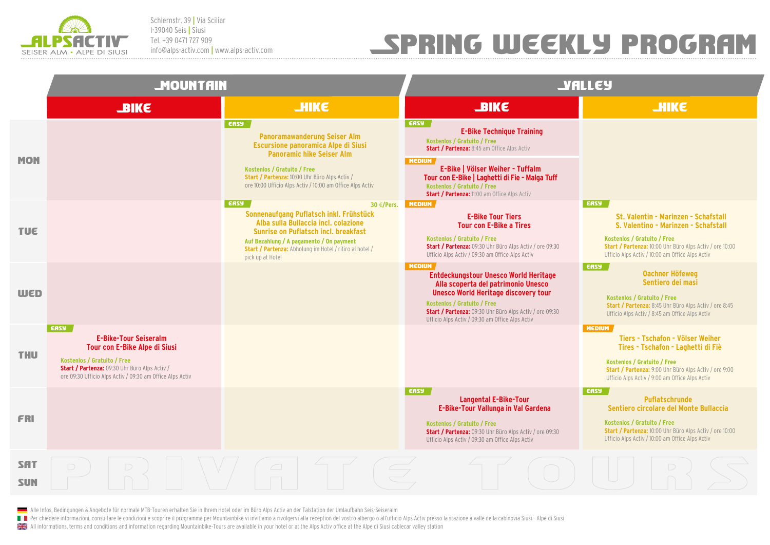

Schlernstr. 39 **|** Via Sciliar I-39040 Seis **|** Siusi Tel. +39 0471 727 909 info@alps-activ.com **|** www.alps-activ.com

## Spring weekly program

|                          | <b>MOUNTAIN</b>                                                                                                                                                                                                           |                                                                                                                                                                                                                                                                                      | <b>JALLEY</b>                                                                                                                                                                                                                                                                                                              |                                                                                                                                                                                                                                          |  |
|--------------------------|---------------------------------------------------------------------------------------------------------------------------------------------------------------------------------------------------------------------------|--------------------------------------------------------------------------------------------------------------------------------------------------------------------------------------------------------------------------------------------------------------------------------------|----------------------------------------------------------------------------------------------------------------------------------------------------------------------------------------------------------------------------------------------------------------------------------------------------------------------------|------------------------------------------------------------------------------------------------------------------------------------------------------------------------------------------------------------------------------------------|--|
|                          | <b>JBIKE</b>                                                                                                                                                                                                              | <b>THIKE</b>                                                                                                                                                                                                                                                                         | <b>SIKE</b>                                                                                                                                                                                                                                                                                                                | <b>HIKE</b>                                                                                                                                                                                                                              |  |
| <b>MON</b>               |                                                                                                                                                                                                                           | <b>EASY</b><br><b>Panoramawanderung Seiser Alm</b><br>Escursione panoramica Alpe di Siusi<br><b>Panoramic hike Seiser Alm</b><br>Kostenlos / Gratuito / Free<br>Start / Partenza: 10:00 Uhr Büro Alps Activ /<br>ore 10:00 Ufficio Alps Activ / 10:00 am Office Alps Activ           | <b>EASY</b><br><b>E-Bike Technique Training</b><br>Kostenlos / Gratuito / Free<br>Start / Partenza: 8:45 am Office Alps Activ<br><b>MEDIUM</b><br>E-Bike   Völser Weiher - Tuffalm<br>Tour con E-Bike   Laghetti di Fie - Malga Tuff<br>Kostenlos / Gratuito / Free<br><b>Start / Partenza: 11:00 am Office Alps Activ</b> |                                                                                                                                                                                                                                          |  |
| <b>TUE</b>               |                                                                                                                                                                                                                           | <b>ERSY</b><br>30 $\in$ /Pers.<br>Sonnenaufgang Puflatsch inkl. Frühstück<br>Alba sulla Bullaccia incl. colazione<br>Sunrise on Puflatsch incl. breakfast<br>Auf Bezahlung / A pagamento / On payment<br>Start / Partenza: Abholung im Hotel / ritiro al hotel /<br>pick up at Hotel | <b>MEDIUM</b><br><b>E-Bike Tour Tiers</b><br><b>Tour con E-Bike a Tires</b><br>Kostenlos / Gratuito / Free<br>Start / Partenza: 09:30 Uhr Büro Alps Activ / ore 09:30<br>Ufficio Alps Activ / 09:30 am Office Alps Activ                                                                                                   | <b>ERSY</b><br>St. Valentin - Marinzen - Schafstall<br>S. Valentino - Marinzen - Schafstall<br>Kostenlos / Gratuito / Free<br>Start / Partenza: 10:00 Uhr Büro Alps Activ / ore 10:00<br>Ufficio Alps Activ / 10:00 am Office Alps Activ |  |
| <b>WED</b>               |                                                                                                                                                                                                                           |                                                                                                                                                                                                                                                                                      | <b>MEDIUM</b><br>Entdeckungstour Unesco World Heritage<br>Alla scoperta del patrimonio Unesco<br><b>Unesco World Heritage discovery tour</b><br>Kostenlos / Gratuito / Free<br><b>Start / Partenza: 09:30 Uhr Büro Alps Activ / ore 09:30</b><br>Ufficio Alps Activ / 09:30 am Office Alps Activ                           | <b>ERSY</b><br><b>Oachner Höfeweg</b><br>Sentiero dei masi<br>Kostenlos / Gratuito / Free<br><b>Start / Partenza: 8:45 Uhr Büro Alps Activ / ore 8:45</b><br>Ufficio Alps Activ / 8:45 am Office Alps Activ                              |  |
| <b>THU</b>               | <b>ERSY</b><br><b>E-Bike-Tour Seiseralm</b><br>Tour con E-Bike Alpe di Siusi<br>Kostenlos / Gratuito / Free<br>Start / Partenza: 09:30 Uhr Büro Alps Activ /<br>ore 09:30 Ufficio Alps Activ / 09:30 am Office Alps Activ |                                                                                                                                                                                                                                                                                      |                                                                                                                                                                                                                                                                                                                            | <b>MEDIUM</b><br>Tiers - Tschafon - Völser Weiher<br>Tires - Tschafon - Laghetti di Fiè<br>Kostenlos / Gratuito / Free<br>Start / Partenza: 9:00 Uhr Büro Alps Activ / ore 9:00<br>Ufficio Alps Activ / 9:00 am Office Alps Activ        |  |
| <b>FRI</b>               |                                                                                                                                                                                                                           |                                                                                                                                                                                                                                                                                      | <b>ERSY</b><br><b>Langental E-Bike-Tour</b><br>E-Bike-Tour Vallunga in Val Gardena<br>Kostenlos / Gratuito / Free<br>Start / Partenza: 09:30 Uhr Büro Alps Activ / ore 09:30<br>Ufficio Alps Activ / 09:30 am Office Alps Activ                                                                                            | <b>ERSY</b><br>Puflatschrunde<br>Sentiero circolare del Monte Bullaccia<br>Kostenlos / Gratuito / Free<br>Start / Partenza: 10:00 Uhr Büro Alps Activ / ore 10:00<br>Ufficio Alps Activ / 10:00 am Office Alps Activ                     |  |
| <b>SAT</b><br><b>SUN</b> |                                                                                                                                                                                                                           |                                                                                                                                                                                                                                                                                      |                                                                                                                                                                                                                                                                                                                            |                                                                                                                                                                                                                                          |  |

Alle Infos, Bedingungen & Angebote für normale MTB-Touren erhalten Sie in Ihrem Hotel oder im Büro Alps Activ an der Talstation der Umlaufbahn Seis-Seiseralm

Per chiedere informazioni, consultare le condizioni e scoprire il programma per Mountainbike vi invitiamo a rivolgervi alla reception del vostro albergo o all'ufficio Alps Activ presso la stazione a valle della cabinovia S

**All informations, terms and conditions and information regarding Mountainbike-Tours are available in your hotel or at the Alps Activ office at the Alpe di Siusi cablecar valley station**